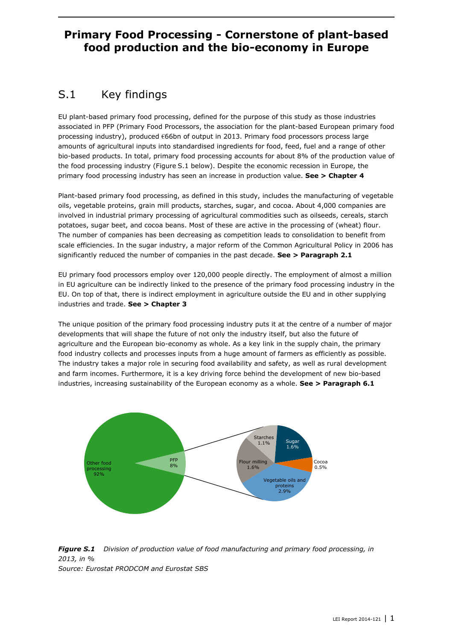## **Primary Food Processing - Cornerstone of plant-based food production and the bio-economy in Europe**

## S.1 Key findings

EU plant-based primary food processing, defined for the purpose of this study as those industries associated in PFP (Primary Food Processors, the association for the plant-based European primary food processing industry), produced €66bn of output in 2013. Primary food processors process large amounts of agricultural inputs into standardised ingredients for food, feed, fuel and a range of other bio-based products. In total, primary food processing accounts for about 8% of the production value of the food processing industry (Figure S.1 below). Despite the economic recession in Europe, the primary food processing industry has seen an increase in production value. **See > Chapter 4**

Plant-based primary food processing, as defined in this study, includes the manufacturing of vegetable oils, vegetable proteins, grain mill products, starches, sugar, and cocoa. About 4,000 companies are involved in industrial primary processing of agricultural commodities such as oilseeds, cereals, starch potatoes, sugar beet, and cocoa beans. Most of these are active in the processing of (wheat) flour. The number of companies has been decreasing as competition leads to consolidation to benefit from scale efficiencies. In the sugar industry, a major reform of the Common Agricultural Policy in 2006 has significantly reduced the number of companies in the past decade. **See > Paragraph 2.1**

EU primary food processors employ over 120,000 people directly. The employment of almost a million in EU agriculture can be indirectly linked to the presence of the primary food processing industry in the EU. On top of that, there is indirect employment in agriculture outside the EU and in other supplying industries and trade. **See > Chapter 3**

The unique position of the primary food processing industry puts it at the centre of a number of major developments that will shape the future of not only the industry itself, but also the future of agriculture and the European bio-economy as whole. As a key link in the supply chain, the primary food industry collects and processes inputs from a huge amount of farmers as efficiently as possible. The industry takes a major role in securing food availability and safety, as well as rural development and farm incomes. Furthermore, it is a key driving force behind the development of new bio-based industries, increasing sustainability of the European economy as a whole. **See > Paragraph 6.1**



*Figure S.1 Division of production value of food manufacturing and primary food processing, in 2013, in % Source: Eurostat PRODCOM and Eurostat SBS*